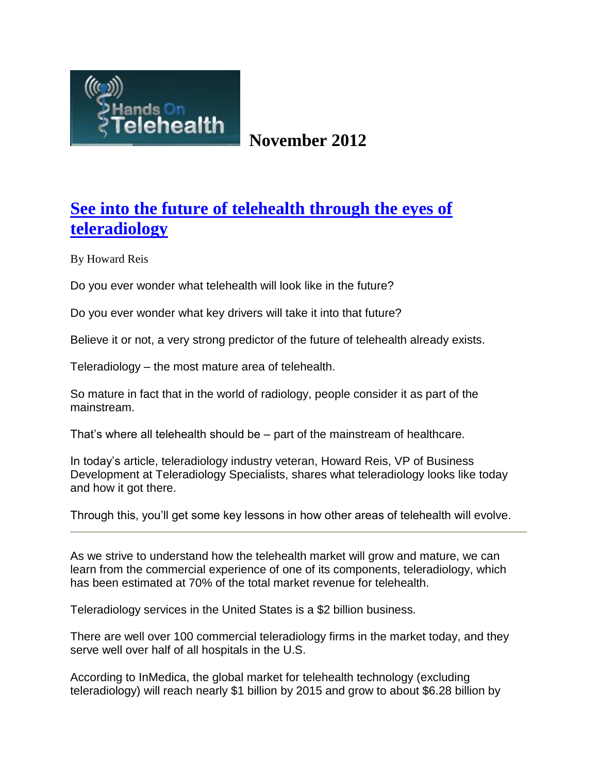

# **November 2012**

# **[See into the future of telehealth through the eyes of](http://www.handsontelehealth.com/past-issues/145-see-the-future-of-telehealth-through-the-eyes-of-teleradiology)  [teleradiology](http://www.handsontelehealth.com/past-issues/145-see-the-future-of-telehealth-through-the-eyes-of-teleradiology)**

By Howard Reis

Do you ever wonder what telehealth will look like in the future?

Do you ever wonder what key drivers will take it into that future?

Believe it or not, a very strong predictor of the future of telehealth already exists.

Teleradiology – the most mature area of telehealth.

So mature in fact that in the world of radiology, people consider it as part of the mainstream.

That's where all telehealth should be – part of the mainstream of healthcare.

In today's article, teleradiology industry veteran, Howard Reis, VP of Business Development at Teleradiology Specialists, shares what teleradiology looks like today and how it got there.

Through this, you'll get some key lessons in how other areas of telehealth will evolve.

As we strive to understand how the telehealth market will grow and mature, we can learn from the commercial experience of one of its components, teleradiology, which has been estimated at 70% of the total market revenue for telehealth.

Teleradiology services in the United States is a \$2 billion business.

There are well over 100 commercial teleradiology firms in the market today, and they serve well over half of all hospitals in the U.S.

According to InMedica, the global market for telehealth technology (excluding teleradiology) will reach nearly \$1 billion by 2015 and grow to about \$6.28 billion by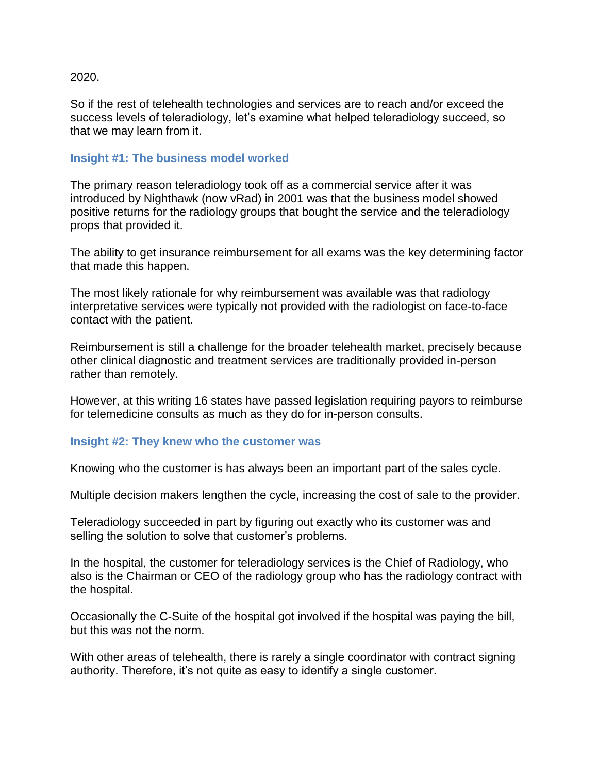#### 2020.

So if the rest of telehealth technologies and services are to reach and/or exceed the success levels of teleradiology, let's examine what helped teleradiology succeed, so that we may learn from it.

#### **Insight #1: The business model worked**

The primary reason teleradiology took off as a commercial service after it was introduced by Nighthawk (now vRad) in 2001 was that the business model showed positive returns for the radiology groups that bought the service and the teleradiology props that provided it.

The ability to get insurance reimbursement for all exams was the key determining factor that made this happen.

The most likely rationale for why reimbursement was available was that radiology interpretative services were typically not provided with the radiologist on face-to-face contact with the patient.

Reimbursement is still a challenge for the broader telehealth market, precisely because other clinical diagnostic and treatment services are traditionally provided in-person rather than remotely.

However, at this writing 16 states have passed legislation requiring payors to reimburse for telemedicine consults as much as they do for in-person consults.

#### **Insight #2: They knew who the customer was**

Knowing who the customer is has always been an important part of the sales cycle.

Multiple decision makers lengthen the cycle, increasing the cost of sale to the provider.

Teleradiology succeeded in part by figuring out exactly who its customer was and selling the solution to solve that customer's problems.

In the hospital, the customer for teleradiology services is the Chief of Radiology, who also is the Chairman or CEO of the radiology group who has the radiology contract with the hospital.

Occasionally the C-Suite of the hospital got involved if the hospital was paying the bill, but this was not the norm.

With other areas of telehealth, there is rarely a single coordinator with contract signing authority. Therefore, it's not quite as easy to identify a single customer.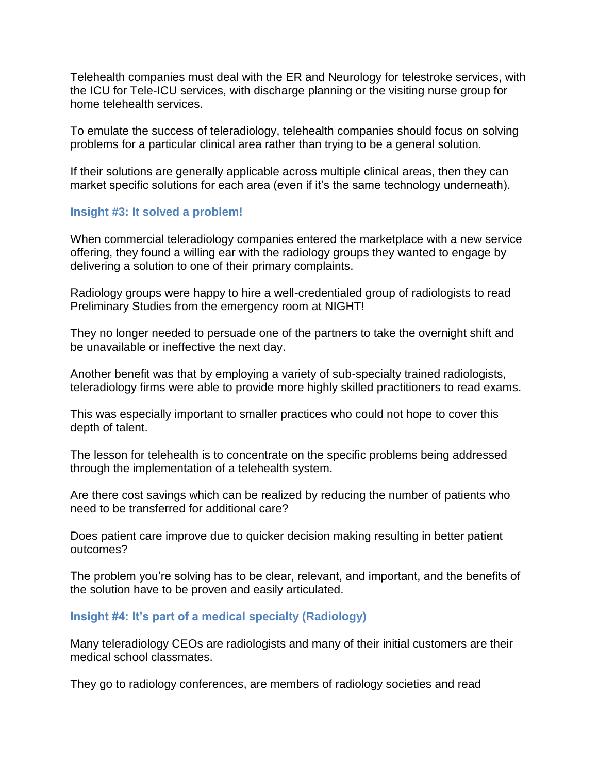Telehealth companies must deal with the ER and Neurology for telestroke services, with the ICU for Tele-ICU services, with discharge planning or the visiting nurse group for home telehealth services.

To emulate the success of teleradiology, telehealth companies should focus on solving problems for a particular clinical area rather than trying to be a general solution.

If their solutions are generally applicable across multiple clinical areas, then they can market specific solutions for each area (even if it's the same technology underneath).

## **Insight #3: It solved a problem!**

When commercial teleradiology companies entered the marketplace with a new service offering, they found a willing ear with the radiology groups they wanted to engage by delivering a solution to one of their primary complaints.

Radiology groups were happy to hire a well-credentialed group of radiologists to read Preliminary Studies from the emergency room at NIGHT!

They no longer needed to persuade one of the partners to take the overnight shift and be unavailable or ineffective the next day.

Another benefit was that by employing a variety of sub-specialty trained radiologists, teleradiology firms were able to provide more highly skilled practitioners to read exams.

This was especially important to smaller practices who could not hope to cover this depth of talent.

The lesson for telehealth is to concentrate on the specific problems being addressed through the implementation of a telehealth system.

Are there cost savings which can be realized by reducing the number of patients who need to be transferred for additional care?

Does patient care improve due to quicker decision making resulting in better patient outcomes?

The problem you're solving has to be clear, relevant, and important, and the benefits of the solution have to be proven and easily articulated.

## **Insight #4: It's part of a medical specialty (Radiology)**

Many teleradiology CEOs are radiologists and many of their initial customers are their medical school classmates.

They go to radiology conferences, are members of radiology societies and read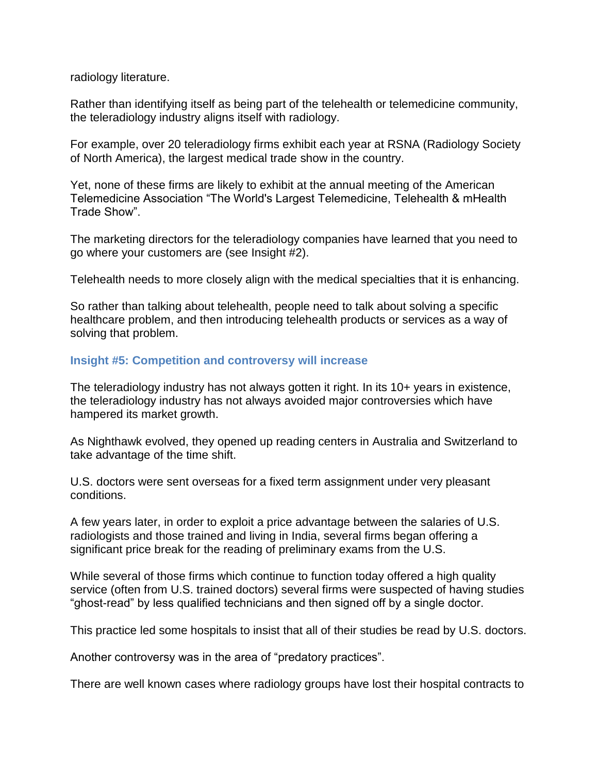radiology literature.

Rather than identifying itself as being part of the telehealth or telemedicine community, the teleradiology industry aligns itself with radiology.

For example, over 20 teleradiology firms exhibit each year at RSNA (Radiology Society of North America), the largest medical trade show in the country.

Yet, none of these firms are likely to exhibit at the annual meeting of the American Telemedicine Association "The World's Largest Telemedicine, Telehealth & mHealth Trade Show".

The marketing directors for the teleradiology companies have learned that you need to go where your customers are (see Insight #2).

Telehealth needs to more closely align with the medical specialties that it is enhancing.

So rather than talking about telehealth, people need to talk about solving a specific healthcare problem, and then introducing telehealth products or services as a way of solving that problem.

## **Insight #5: Competition and controversy will increase**

The teleradiology industry has not always gotten it right. In its 10+ years in existence, the teleradiology industry has not always avoided major controversies which have hampered its market growth.

As Nighthawk evolved, they opened up reading centers in Australia and Switzerland to take advantage of the time shift.

U.S. doctors were sent overseas for a fixed term assignment under very pleasant conditions.

A few years later, in order to exploit a price advantage between the salaries of U.S. radiologists and those trained and living in India, several firms began offering a significant price break for the reading of preliminary exams from the U.S.

While several of those firms which continue to function today offered a high quality service (often from U.S. trained doctors) several firms were suspected of having studies "ghost-read" by less qualified technicians and then signed off by a single doctor.

This practice led some hospitals to insist that all of their studies be read by U.S. doctors.

Another controversy was in the area of "predatory practices".

There are well known cases where radiology groups have lost their hospital contracts to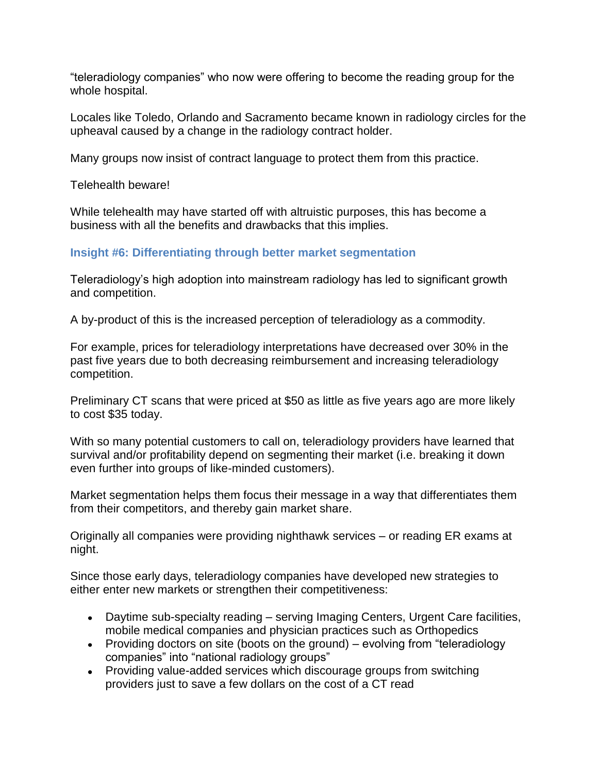"teleradiology companies" who now were offering to become the reading group for the whole hospital.

Locales like Toledo, Orlando and Sacramento became known in radiology circles for the upheaval caused by a change in the radiology contract holder.

Many groups now insist of contract language to protect them from this practice.

Telehealth beware!

While telehealth may have started off with altruistic purposes, this has become a business with all the benefits and drawbacks that this implies.

## **Insight #6: Differentiating through better market segmentation**

Teleradiology's high adoption into mainstream radiology has led to significant growth and competition.

A by-product of this is the increased perception of teleradiology as a commodity.

For example, prices for teleradiology interpretations have decreased over 30% in the past five years due to both decreasing reimbursement and increasing teleradiology competition.

Preliminary CT scans that were priced at \$50 as little as five years ago are more likely to cost \$35 today.

With so many potential customers to call on, teleradiology providers have learned that survival and/or profitability depend on segmenting their market (i.e. breaking it down even further into groups of like-minded customers).

Market segmentation helps them focus their message in a way that differentiates them from their competitors, and thereby gain market share.

Originally all companies were providing nighthawk services – or reading ER exams at night.

Since those early days, teleradiology companies have developed new strategies to either enter new markets or strengthen their competitiveness:

- Daytime sub-specialty reading serving Imaging Centers, Urgent Care facilities, mobile medical companies and physician practices such as Orthopedics
- Providing doctors on site (boots on the ground) evolving from "teleradiology companies" into "national radiology groups"
- Providing value-added services which discourage groups from switching providers just to save a few dollars on the cost of a CT read